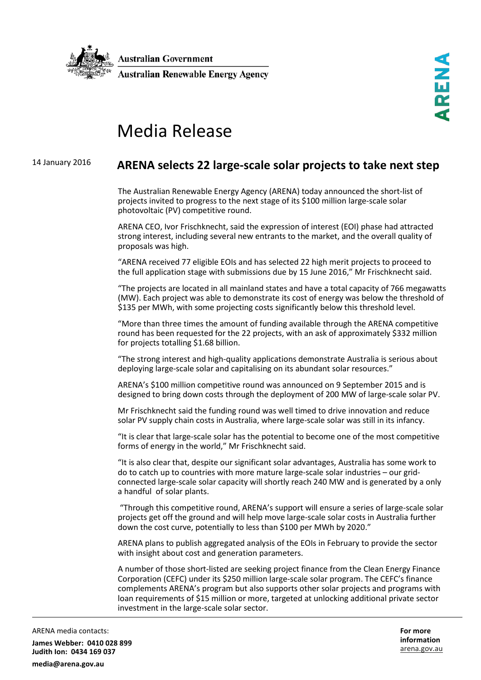

**Australian Government** 

**Australian Renewable Energy Agency** 

## Media Release

## 14 January 2016 **ARENA selects 22 large-scale solar projects to take next step**

The Australian Renewable Energy Agency (ARENA) today announced the short-list of projects invited to progress to the next stage of its \$100 million large-scale solar photovoltaic (PV) competitive round.

ARENA CEO, Ivor Frischknecht, said the expression of interest (EOI) phase had attracted strong interest, including several new entrants to the market, and the overall quality of proposals was high.

"ARENA received 77 eligible EOIs and has selected 22 high merit projects to proceed to the full application stage with submissions due by 15 June 2016," Mr Frischknecht said.

"The projects are located in all mainland states and have a total capacity of 766 megawatts (MW). Each project was able to demonstrate its cost of energy was below the threshold of \$135 per MWh, with some projecting costs significantly below this threshold level.

"More than three times the amount of funding available through the ARENA competitive round has been requested for the 22 projects, with an ask of approximately \$332 million for projects totalling \$1.68 billion.

"The strong interest and high-quality applications demonstrate Australia is serious about deploying large-scale solar and capitalising on its abundant solar resources."

ARENA's \$100 million competitive round was announced on 9 September 2015 and is designed to bring down costs through the deployment of 200 MW of large-scale solar PV.

Mr Frischknecht said the funding round was well timed to drive innovation and reduce solar PV supply chain costs in Australia, where large-scale solar was still in its infancy.

"It is clear that large-scale solar has the potential to become one of the most competitive forms of energy in the world," Mr Frischknecht said.

"It is also clear that, despite our significant solar advantages, Australia has some work to do to catch up to countries with more mature large-scale solar industries – our gridconnected large-scale solar capacity will shortly reach 240 MW and is generated by a only a handful of solar plants.

"Through this competitive round, ARENA's support will ensure a series of large-scale solar projects get off the ground and will help move large-scale solar costs in Australia further down the cost curve, potentially to less than \$100 per MWh by 2020."

ARENA plans to publish aggregated analysis of the EOIs in February to provide the sector with insight about cost and generation parameters.

A number of those short-listed are seeking project finance from the Clean Energy Finance Corporation (CEFC) under its \$250 million large-scale solar program. The CEFC's finance complements ARENA's program but also supports other solar projects and programs with loan requirements of \$15 million or more, targeted at unlocking additional private sector investment in the large-scale solar sector.